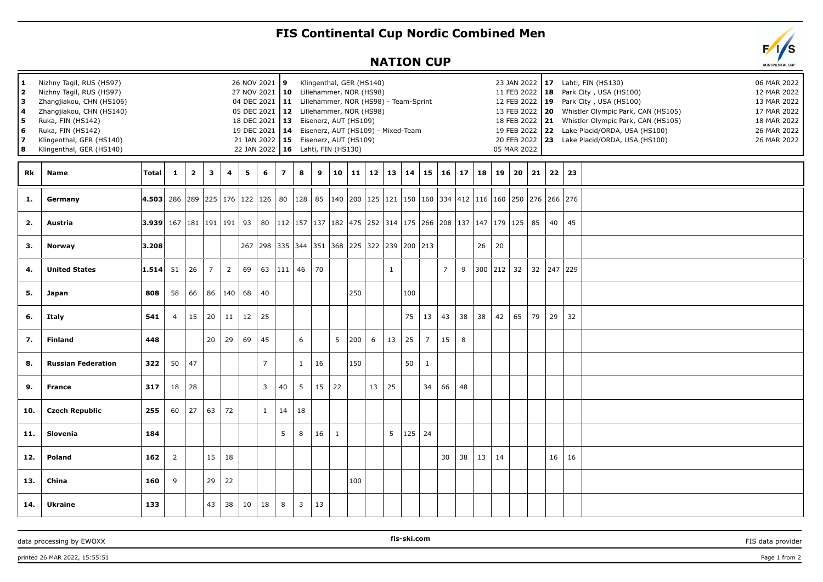## **FIS Continental Cup Nordic Combined Men**

## **NATION CUP**

| 1<br>$\overline{2}$<br>3<br>4<br>5<br>6<br>7<br>8 | Nizhny Tagil, RUS (HS97)<br>Nizhny Tagil, RUS (HS97)<br>Zhangjiakou, CHN (HS106)<br>Zhangjiakou, CHN (HS140)<br>Ruka, FIN (HS142)<br>Ruka, FIN (HS142)<br>Klingenthal, GER (HS140)<br>Klingenthal, GER (HS140) |                                                                                                                          |                |                         |                         |                |     | 26 NOV 2021 9<br>27 NOV 2021   10                |                | Klingenthal, GER (HS140)<br>Lillehammer, NOR (HS98)<br>04 DEC 2021 11 Lillehammer, NOR (HS98) - Team-Sprint<br>05 DEC 2021   12 Lillehammer, NOR (HS98)<br>18 DEC 2021   13 Eisenerz, AUT (HS109)<br>19 DEC 2021   14 Eisenerz, AUT (HS109) - Mixed-Team<br>21 JAN 2022   15 Eisenerz, AUT (HS109)<br>22 JAN 2022   16 Lahti, FIN (HS130) |    |                |     |    |                      |     |                |                |              |    |                                                                                             | 11 FEB 2022   18<br>12 FEB 2022 19<br>18 FEB 2022 21<br>05 MAR 2022 |    |    |              | 23 JAN 2022   17 Lahti, FIN (HS130)<br>Park City, USA (HS100)<br>Park City, USA (HS100)<br>13 FEB 2022 20 Whistler Olympic Park, CAN (HS105)<br>Whistler Olympic Park, CAN (HS105)<br>19 FEB 2022 22 Lake Placid/ORDA, USA (HS100)<br>20 FEB 2022 23 Lake Placid/ORDA, USA (HS100) | 06 MAR 2022<br>12 MAR 2022<br>13 MAR 2022<br>17 MAR 2022<br>18 MAR 2022<br>26 MAR 2022<br>26 MAR 2022 |
|---------------------------------------------------|----------------------------------------------------------------------------------------------------------------------------------------------------------------------------------------------------------------|--------------------------------------------------------------------------------------------------------------------------|----------------|-------------------------|-------------------------|----------------|-----|--------------------------------------------------|----------------|-------------------------------------------------------------------------------------------------------------------------------------------------------------------------------------------------------------------------------------------------------------------------------------------------------------------------------------------|----|----------------|-----|----|----------------------|-----|----------------|----------------|--------------|----|---------------------------------------------------------------------------------------------|---------------------------------------------------------------------|----|----|--------------|------------------------------------------------------------------------------------------------------------------------------------------------------------------------------------------------------------------------------------------------------------------------------------|-------------------------------------------------------------------------------------------------------|
| Rk                                                | <b>Name</b>                                                                                                                                                                                                    | Total                                                                                                                    | $\mathbf{1}$   | $\overline{\mathbf{2}}$ | $\overline{\mathbf{3}}$ | 4              | 5   | 6                                                | $\overline{7}$ | 8                                                                                                                                                                                                                                                                                                                                         | 9  | 10             | 11  |    | $12 \mid 13 \mid 14$ |     | $15 \mid 16$   |                | $17 \mid 18$ |    | 19 <sup>1</sup>                                                                             | 20 <sub>1</sub>                                                     | 21 |    | $22 \mid 23$ |                                                                                                                                                                                                                                                                                    |                                                                                                       |
| 1.                                                | Germany                                                                                                                                                                                                        | 4.503  286  289  225  176  122  126   80  128   85  140  200  125  121  150  160  334  412  116  160  250  276  266  276 |                |                         |                         |                |     |                                                  |                |                                                                                                                                                                                                                                                                                                                                           |    |                |     |    |                      |     |                |                |              |    |                                                                                             |                                                                     |    |    |              |                                                                                                                                                                                                                                                                                    |                                                                                                       |
| 2.                                                | Austria                                                                                                                                                                                                        | $ 3.939 $ 167   181   191   191   93                                                                                     |                |                         |                         |                |     |                                                  |                |                                                                                                                                                                                                                                                                                                                                           |    |                |     |    |                      |     |                |                |              |    | 80   112   157   137   182   475   252   314   175   266   208   137   147   179   125   85 |                                                                     |    | 40 | 45           |                                                                                                                                                                                                                                                                                    |                                                                                                       |
| 3.                                                | Norway                                                                                                                                                                                                         | 3.208                                                                                                                    |                |                         |                         |                | 267 | 298  335  344  351  368  225  322  239  200  213 |                |                                                                                                                                                                                                                                                                                                                                           |    |                |     |    |                      |     |                |                |              | 26 | 20                                                                                          |                                                                     |    |    |              |                                                                                                                                                                                                                                                                                    |                                                                                                       |
| 4.                                                | <b>United States</b>                                                                                                                                                                                           | $\vert 1.514 \vert$                                                                                                      | 51             | 26                      | $\overline{7}$          | $\overline{2}$ | 69  |                                                  | $63$   111     | 46                                                                                                                                                                                                                                                                                                                                        | 70 |                |     |    | 1                    |     |                | $\overline{7}$ | 9            |    | 300 212                                                                                     | 32                                                                  | 32 |    | 247 229      |                                                                                                                                                                                                                                                                                    |                                                                                                       |
| 5.                                                | Japan                                                                                                                                                                                                          | 808                                                                                                                      | 58             | 66                      | 86                      | 140            | 68  | 40                                               |                |                                                                                                                                                                                                                                                                                                                                           |    |                | 250 |    |                      | 100 |                |                |              |    |                                                                                             |                                                                     |    |    |              |                                                                                                                                                                                                                                                                                    |                                                                                                       |
| 6.                                                | <b>Italy</b>                                                                                                                                                                                                   | 541                                                                                                                      | 4              | 15                      | 20                      | 11             | 12  | 25                                               |                |                                                                                                                                                                                                                                                                                                                                           |    |                |     |    |                      | 75  | 13             | 43             | 38           | 38 | 42                                                                                          | 65                                                                  | 79 | 29 | 32           |                                                                                                                                                                                                                                                                                    |                                                                                                       |
| 7.                                                | <b>Finland</b>                                                                                                                                                                                                 | 448                                                                                                                      |                |                         | 20                      | 29             | 69  | 45                                               |                | 6                                                                                                                                                                                                                                                                                                                                         |    | 5 <sup>1</sup> | 200 | 6  | 13                   | 25  | $\overline{7}$ | 15             | 8            |    |                                                                                             |                                                                     |    |    |              |                                                                                                                                                                                                                                                                                    |                                                                                                       |
| 8.                                                | <b>Russian Federation</b>                                                                                                                                                                                      | 322                                                                                                                      | 50             | 47                      |                         |                |     | $\overline{7}$                                   |                | $\mathbf{1}$                                                                                                                                                                                                                                                                                                                              | 16 |                | 150 |    |                      | 50  | 1              |                |              |    |                                                                                             |                                                                     |    |    |              |                                                                                                                                                                                                                                                                                    |                                                                                                       |
| 9.                                                | <b>France</b>                                                                                                                                                                                                  | 317                                                                                                                      | 18             | 28                      |                         |                |     | $\overline{3}$                                   | 40             | 5 <sup>5</sup>                                                                                                                                                                                                                                                                                                                            | 15 | 22             |     | 13 | 25                   |     | 34             | 66             | 48           |    |                                                                                             |                                                                     |    |    |              |                                                                                                                                                                                                                                                                                    |                                                                                                       |
| 10.                                               | <b>Czech Republic</b>                                                                                                                                                                                          | 255                                                                                                                      | 60             | 27                      | 63                      | 72             |     | $\mathbf{1}$                                     | 14             | 18                                                                                                                                                                                                                                                                                                                                        |    |                |     |    |                      |     |                |                |              |    |                                                                                             |                                                                     |    |    |              |                                                                                                                                                                                                                                                                                    |                                                                                                       |
| 11.                                               | Slovenia                                                                                                                                                                                                       | 184                                                                                                                      |                |                         |                         |                |     |                                                  | 5              | 8                                                                                                                                                                                                                                                                                                                                         | 16 | $\mathbf{1}$   |     |    | 5                    | 125 | 24             |                |              |    |                                                                                             |                                                                     |    |    |              |                                                                                                                                                                                                                                                                                    |                                                                                                       |
| 12.                                               | Poland                                                                                                                                                                                                         | 162                                                                                                                      | $\overline{2}$ |                         | 15                      | 18             |     |                                                  |                |                                                                                                                                                                                                                                                                                                                                           |    |                |     |    |                      |     |                | 30             | 38           | 13 | 14                                                                                          |                                                                     |    | 16 | 16           |                                                                                                                                                                                                                                                                                    |                                                                                                       |
| 13.                                               | China                                                                                                                                                                                                          | 160                                                                                                                      | 9              |                         | 29                      | 22             |     |                                                  |                |                                                                                                                                                                                                                                                                                                                                           |    |                | 100 |    |                      |     |                |                |              |    |                                                                                             |                                                                     |    |    |              |                                                                                                                                                                                                                                                                                    |                                                                                                       |
| 14.                                               | <b>Ukraine</b>                                                                                                                                                                                                 | 133                                                                                                                      |                |                         | 43                      | 38             | 10  | 18                                               | 8              | 3                                                                                                                                                                                                                                                                                                                                         | 13 |                |     |    |                      |     |                |                |              |    |                                                                                             |                                                                     |    |    |              |                                                                                                                                                                                                                                                                                    |                                                                                                       |